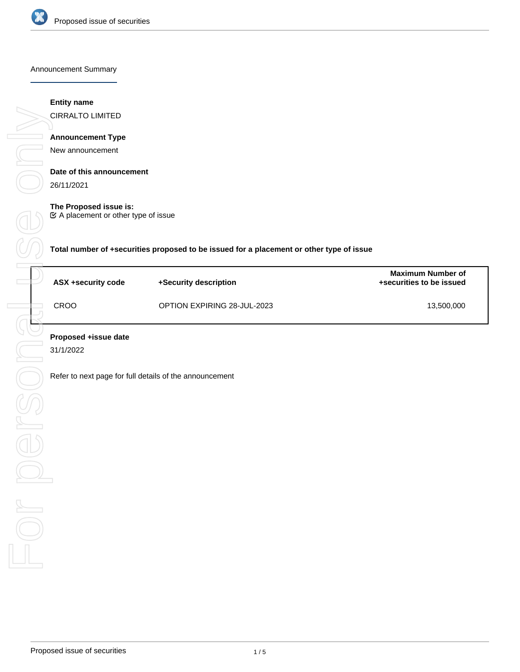

### Announcement Summary

## **Entity name**

CIRRALTO LIMITED

## **Announcement Type**

New announcement

## **Date of this announcement**

26/11/2021

## **The Proposed issue is:**

A placement or other type of issue

**Total number of +securities proposed to be issued for a placement or other type of issue**

| ASX +security code | +Security description       | <b>Maximum Number of</b><br>+securities to be issued |
|--------------------|-----------------------------|------------------------------------------------------|
| CROO               | OPTION EXPIRING 28-JUL-2023 | 13,500,000                                           |

31/1/2022

Refer to next page for full details of the announcement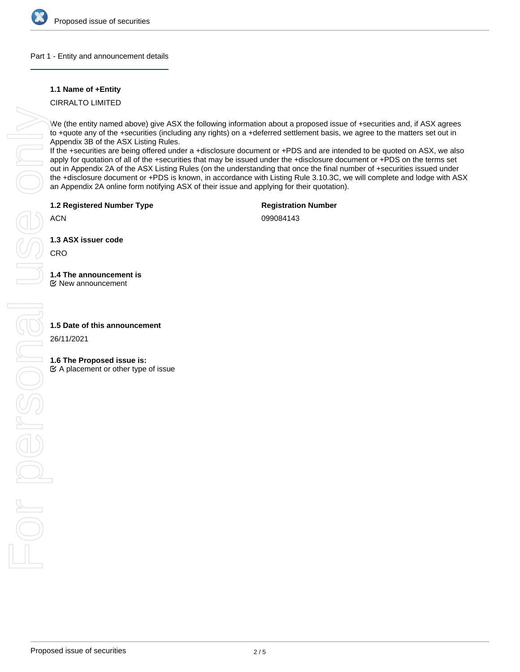

## Part 1 - Entity and announcement details

## **1.1 Name of +Entity**

CIRRALTO LIMITED

We (the entity named above) give ASX the following information about a proposed issue of +securities and, if ASX agrees to +quote any of the +securities (including any rights) on a +deferred settlement basis, we agree to the matters set out in Appendix 3B of the ASX Listing Rules.

If the +securities are being offered under a +disclosure document or +PDS and are intended to be quoted on ASX, we also apply for quotation of all of the +securities that may be issued under the +disclosure document or +PDS on the terms set out in Appendix 2A of the ASX Listing Rules (on the understanding that once the final number of +securities issued under the +disclosure document or +PDS is known, in accordance with Listing Rule 3.10.3C, we will complete and lodge with ASX an Appendix 2A online form notifying ASX of their issue and applying for their quotation).

**1.2 Registered Number Type**

**Registration Number**

ACN

099084143

**1.3 ASX issuer code**

CRO

# **1.4 The announcement is**

New announcement

26/11/2021

## **1.6 The Proposed issue is:**

 $\mathfrak{C}$  A placement or other type of issue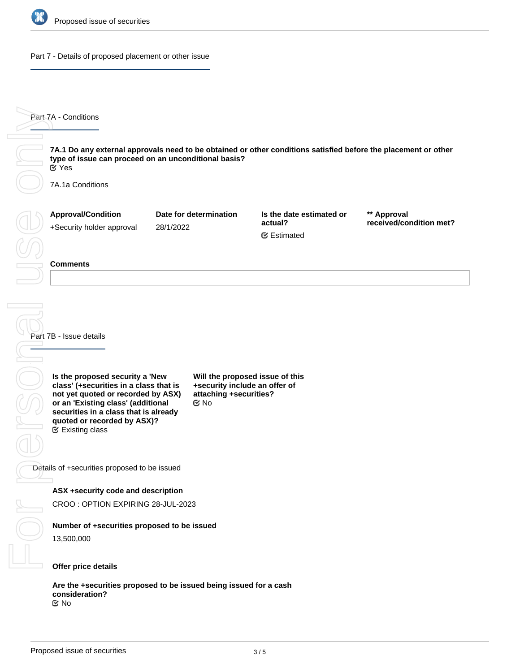

### Part 7 - Details of proposed placement or other issue

**7A.1 Do any external approvals need to be obtained or other conditions satisfied before the placement or other type of issue can proceed on an unconditional basis?** 7A.1a Conditions **Approval/Condition** +Security holder approval **Date for determination** 28/1/2022 **Is the date estimated or actual? \*\* Approval received/condition met?** Estimated Yes

### **Comments**

Part 7A - Conditions

Part 7B - Issue details

**Is the proposed security a 'New class' (+securities in a class that is not yet quoted or recorded by ASX) or an 'Existing class' (additional securities in a class that is already quoted or recorded by ASX)?** Existing class

**Will the proposed issue of this +security include an offer of attaching +securities?** No

Details of +securities proposed to be issued

## **ASX +security code and description**

CROO : OPTION EXPIRING 28-JUL-2023

# **Number of +securities proposed to be issued**

13,500,000

## **Offer price details**

**Are the +securities proposed to be issued being issued for a cash consideration?** No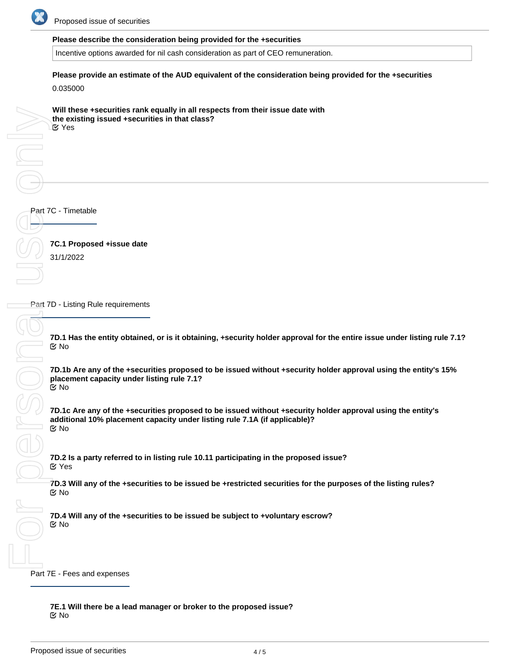

## **Please describe the consideration being provided for the +securities**

Incentive options awarded for nil cash consideration as part of CEO remuneration.

**Please provide an estimate of the AUD equivalent of the consideration being provided for the +securities**

0.035000

**Will these +securities rank equally in all respects from their issue date with the existing issued +securities in that class?** Yes

Part 7C - Timetable

**7C.1 Proposed +issue date** 31/1/2022

**Part 7D - Listing Rule requirements** 

**7D.1 Has the entity obtained, or is it obtaining, +security holder approval for the entire issue under listing rule 7.1?** No

**7D.1b Are any of the +securities proposed to be issued without +security holder approval using the entity's 15% placement capacity under listing rule 7.1?** No

**7D.1c Are any of the +securities proposed to be issued without +security holder approval using the entity's additional 10% placement capacity under listing rule 7.1A (if applicable)?** No

**7D.2 Is a party referred to in listing rule 10.11 participating in the proposed issue?** Yes

**7D.3 Will any of the +securities to be issued be +restricted securities for the purposes of the listing rules?** No

**7D.4 Will any of the +securities to be issued be subject to +voluntary escrow?** No

Part 7E - Fees and expenses

**7E.1 Will there be a lead manager or broker to the proposed issue?** No